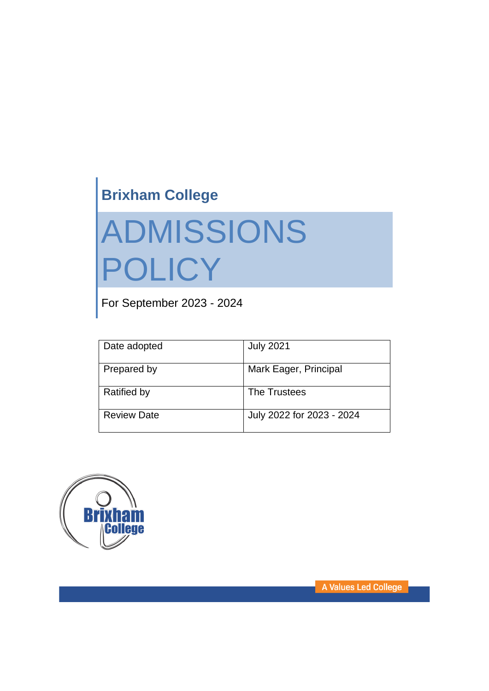# **Brixham College**

# ADMISSIONS POLICY

For September 2023 - 2024

| Date adopted       | <b>July 2021</b>          |
|--------------------|---------------------------|
| Prepared by        | Mark Eager, Principal     |
| <b>Ratified by</b> | The Trustees              |
| <b>Review Date</b> | July 2022 for 2023 - 2024 |



A Values Led College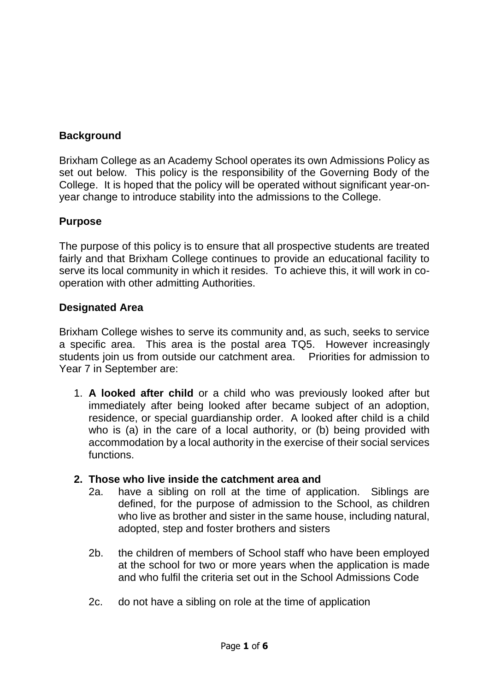# **Background**

Brixham College as an Academy School operates its own Admissions Policy as set out below. This policy is the responsibility of the Governing Body of the College. It is hoped that the policy will be operated without significant year-onyear change to introduce stability into the admissions to the College.

#### **Purpose**

The purpose of this policy is to ensure that all prospective students are treated fairly and that Brixham College continues to provide an educational facility to serve its local community in which it resides. To achieve this, it will work in cooperation with other admitting Authorities.

#### **Designated Area**

Brixham College wishes to serve its community and, as such, seeks to service a specific area. This area is the postal area TQ5. However increasingly students join us from outside our catchment area. Priorities for admission to Year 7 in September are:

1. **A looked after child** or a child who was previously looked after but immediately after being looked after became subject of an adoption, residence, or special guardianship order. A looked after child is a child who is (a) in the care of a local authority, or (b) being provided with accommodation by a local authority in the exercise of their social services functions.

#### **2. Those who live inside the catchment area and**

- 2a. have a sibling on roll at the time of application. Siblings are defined, for the purpose of admission to the School, as children who live as brother and sister in the same house, including natural, adopted, step and foster brothers and sisters
- 2b. the children of members of School staff who have been employed at the school for two or more years when the application is made and who fulfil the criteria set out in the School Admissions Code
- 2c. do not have a sibling on role at the time of application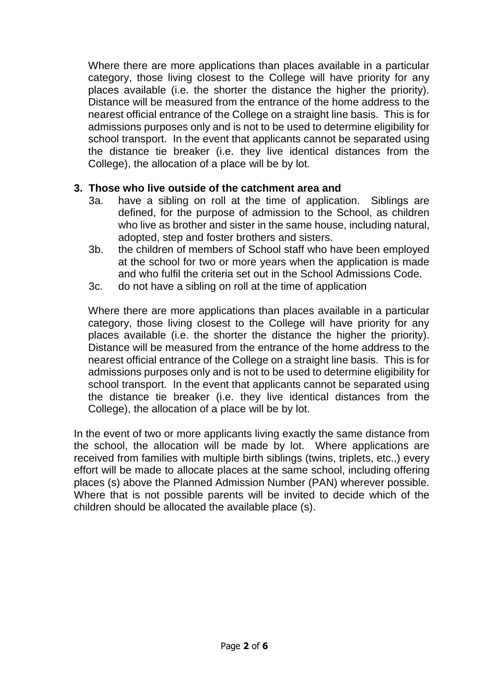Where there are more applications than places available in a particular category, those living closest to the College will have priority for any places available (i.e. the shorter the distance the higher the priority). Distance will be measured from the entrance of the home address to the nearest official entrance of the College on a straight line basis. This is for admissions purposes only and is not to be used to determine eligibility for school transport. In the event that applicants cannot be separated using the distance tie breaker (i.e. they live identical distances from the College), the allocation of a place will be by lot.

#### **3. Those who live outside of the catchment area and**

- 3a. have a sibling on roll at the time of application. Siblings are defined, for the purpose of admission to the School, as children who live as brother and sister in the same house, including natural, adopted, step and foster brothers and sisters.
- 3b. the children of members of School staff who have been employed at the school for two or more years when the application is made and who fulfil the criteria set out in the School Admissions Code.
- 3c. do not have a sibling on roll at the time of application

Where there are more applications than places available in a particular category, those living closest to the College will have priority for any places available (i.e. the shorter the distance the higher the priority). Distance will be measured from the entrance of the home address to the nearest official entrance of the College on a straight line basis. This is for admissions purposes only and is not to be used to determine eligibility for school transport. In the event that applicants cannot be separated using the distance tie breaker (i.e. they live identical distances from the College), the allocation of a place will be by lot.

In the event of two or more applicants living exactly the same distance from the school, the allocation will be made by lot. Where applications are received from families with multiple birth siblings (twins, triplets, etc.,) every effort will be made to allocate places at the same school, including offering places (s) above the Planned Admission Number (PAN) wherever possible. Where that is not possible parents will be invited to decide which of the children should be allocated the available place (s).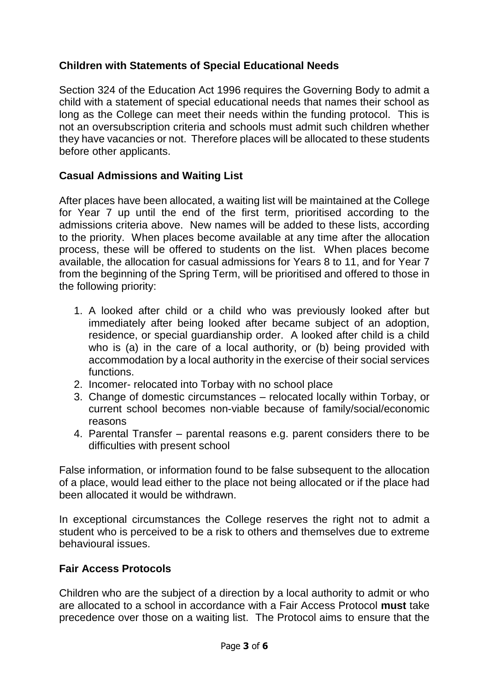# **Children with Statements of Special Educational Needs**

Section 324 of the Education Act 1996 requires the Governing Body to admit a child with a statement of special educational needs that names their school as long as the College can meet their needs within the funding protocol. This is not an oversubscription criteria and schools must admit such children whether they have vacancies or not. Therefore places will be allocated to these students before other applicants.

# **Casual Admissions and Waiting List**

After places have been allocated, a waiting list will be maintained at the College for Year 7 up until the end of the first term, prioritised according to the admissions criteria above. New names will be added to these lists, according to the priority. When places become available at any time after the allocation process, these will be offered to students on the list. When places become available, the allocation for casual admissions for Years 8 to 11, and for Year 7 from the beginning of the Spring Term, will be prioritised and offered to those in the following priority:

- 1. A looked after child or a child who was previously looked after but immediately after being looked after became subject of an adoption, residence, or special guardianship order. A looked after child is a child who is (a) in the care of a local authority, or (b) being provided with accommodation by a local authority in the exercise of their social services functions.
- 2. Incomer- relocated into Torbay with no school place
- 3. Change of domestic circumstances relocated locally within Torbay, or current school becomes non-viable because of family/social/economic reasons
- 4. Parental Transfer parental reasons e.g. parent considers there to be difficulties with present school

False information, or information found to be false subsequent to the allocation of a place, would lead either to the place not being allocated or if the place had been allocated it would be withdrawn.

In exceptional circumstances the College reserves the right not to admit a student who is perceived to be a risk to others and themselves due to extreme behavioural issues.

#### **Fair Access Protocols**

Children who are the subject of a direction by a local authority to admit or who are allocated to a school in accordance with a Fair Access Protocol **must** take precedence over those on a waiting list. The Protocol aims to ensure that the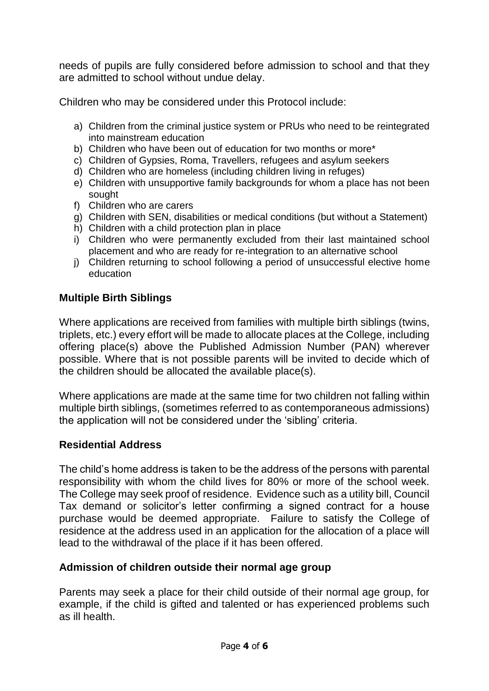needs of pupils are fully considered before admission to school and that they are admitted to school without undue delay.

Children who may be considered under this Protocol include:

- a) Children from the criminal justice system or PRUs who need to be reintegrated into mainstream education
- b) Children who have been out of education for two months or more\*
- c) Children of Gypsies, Roma, Travellers, refugees and asylum seekers
- d) Children who are homeless (including children living in refuges)
- e) Children with unsupportive family backgrounds for whom a place has not been sought
- f) Children who are carers
- $\mathbf{g}$ ) Children with SEN, disabilities or medical conditions (but without a Statement)
- h) Children with a child protection plan in place
- i) Children who were permanently excluded from their last maintained school placement and who are ready for re-integration to an alternative school
- j) Children returning to school following a period of unsuccessful elective home education

# **Multiple Birth Siblings**

Where applications are received from families with multiple birth siblings (twins, triplets, etc.) every effort will be made to allocate places at the College, including offering place(s) above the Published Admission Number (PAN) wherever possible. Where that is not possible parents will be invited to decide which of the children should be allocated the available place(s).

Where applications are made at the same time for two children not falling within multiple birth siblings, (sometimes referred to as contemporaneous admissions) the application will not be considered under the 'sibling' criteria.

#### **Residential Address**

The child's home address is taken to be the address of the persons with parental responsibility with whom the child lives for 80% or more of the school week. The College may seek proof of residence. Evidence such as a utility bill, Council Tax demand or solicitor's letter confirming a signed contract for a house purchase would be deemed appropriate. Failure to satisfy the College of residence at the address used in an application for the allocation of a place will lead to the withdrawal of the place if it has been offered.

#### **Admission of children outside their normal age group**

Parents may seek a place for their child outside of their normal age group, for example, if the child is gifted and talented or has experienced problems such as ill health.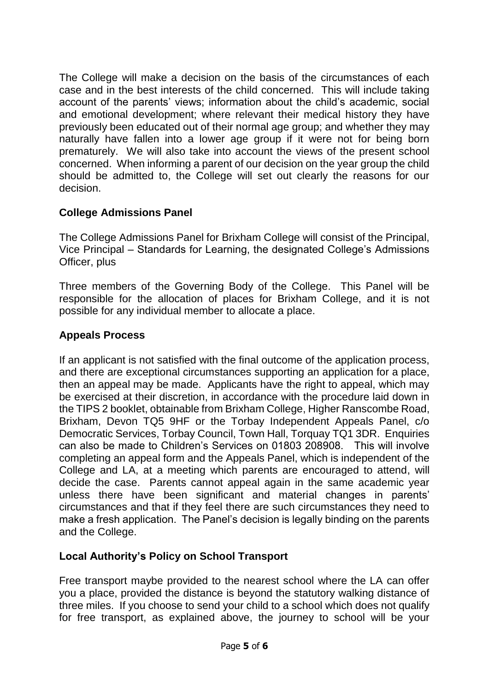The College will make a decision on the basis of the circumstances of each case and in the best interests of the child concerned. This will include taking account of the parents' views; information about the child's academic, social and emotional development; where relevant their medical history they have previously been educated out of their normal age group; and whether they may naturally have fallen into a lower age group if it were not for being born prematurely. We will also take into account the views of the present school concerned. When informing a parent of our decision on the year group the child should be admitted to, the College will set out clearly the reasons for our decision.

# **College Admissions Panel**

The College Admissions Panel for Brixham College will consist of the Principal, Vice Principal – Standards for Learning, the designated College's Admissions Officer, plus

Three members of the Governing Body of the College. This Panel will be responsible for the allocation of places for Brixham College, and it is not possible for any individual member to allocate a place.

# **Appeals Process**

If an applicant is not satisfied with the final outcome of the application process, and there are exceptional circumstances supporting an application for a place, then an appeal may be made. Applicants have the right to appeal, which may be exercised at their discretion, in accordance with the procedure laid down in the TIPS 2 booklet, obtainable from Brixham College, Higher Ranscombe Road, Brixham, Devon TQ5 9HF or the Torbay Independent Appeals Panel, c/o Democratic Services, Torbay Council, Town Hall, Torquay TQ1 3DR. Enquiries can also be made to Children's Services on 01803 208908. This will involve completing an appeal form and the Appeals Panel, which is independent of the College and LA, at a meeting which parents are encouraged to attend, will decide the case. Parents cannot appeal again in the same academic year unless there have been significant and material changes in parents' circumstances and that if they feel there are such circumstances they need to make a fresh application. The Panel's decision is legally binding on the parents and the College.

#### **Local Authority's Policy on School Transport**

Free transport maybe provided to the nearest school where the LA can offer you a place, provided the distance is beyond the statutory walking distance of three miles. If you choose to send your child to a school which does not qualify for free transport, as explained above, the journey to school will be your